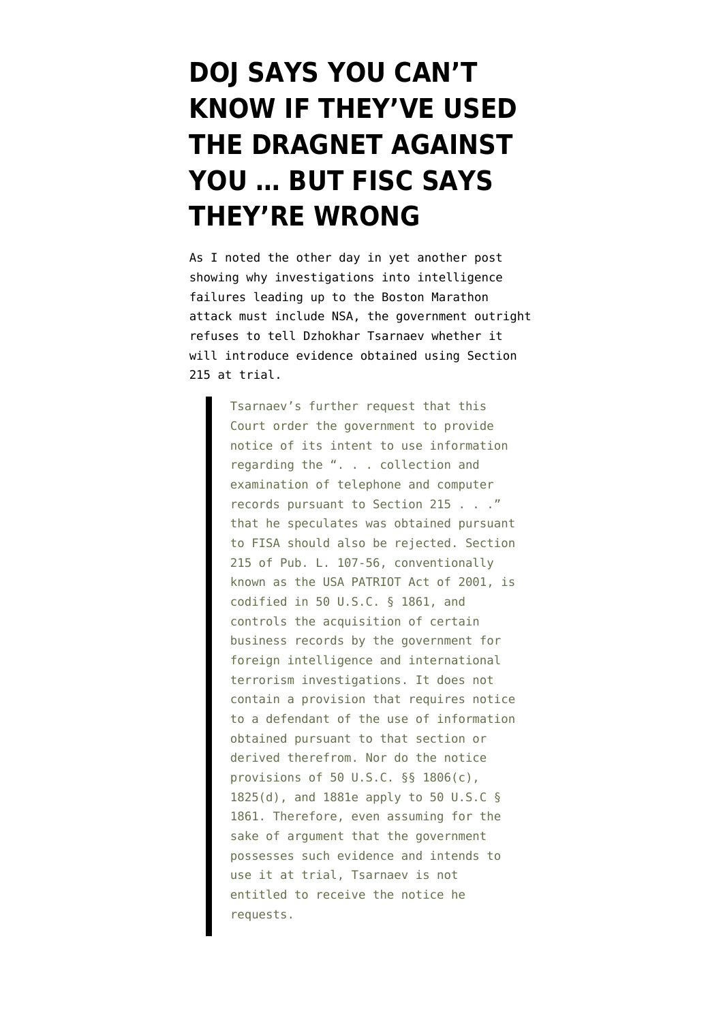## **[DOJ SAYS YOU CAN'T](https://www.emptywheel.net/2014/04/14/doj-says-you-cant-know-if-theyve-used-the-dragnet-against-you-but-fisa-says-theyre-wrong/) [KNOW IF THEY'VE USED](https://www.emptywheel.net/2014/04/14/doj-says-you-cant-know-if-theyve-used-the-dragnet-against-you-but-fisa-says-theyre-wrong/) [THE DRAGNET AGAINST](https://www.emptywheel.net/2014/04/14/doj-says-you-cant-know-if-theyve-used-the-dragnet-against-you-but-fisa-says-theyre-wrong/) [YOU … BUT FISC SAYS](https://www.emptywheel.net/2014/04/14/doj-says-you-cant-know-if-theyve-used-the-dragnet-against-you-but-fisa-says-theyre-wrong/) [THEY'RE WRONG](https://www.emptywheel.net/2014/04/14/doj-says-you-cant-know-if-theyve-used-the-dragnet-against-you-but-fisa-says-theyre-wrong/)**

As I noted the other day in [yet another post](http://www.emptywheel.net/2014/04/12/the-day-after-government-catalogs-data-nsa-collected-on-tsarnaevs-doj-refuses-to-give-dzhokhar-notice/) showing why investigations into intelligence failures leading up to the Boston Marathon attack must include NSA, the government [outright](http://www.emptywheel.net/wp-content/uploads/2014/04/140411-FISA-Response.pdf) [refuses](http://www.emptywheel.net/wp-content/uploads/2014/04/140411-FISA-Response.pdf) to tell Dzhokhar Tsarnaev whether it will introduce evidence obtained using Section 215 at trial.

> Tsarnaev's further request that this Court order the government to provide notice of its intent to use information regarding the ". . . collection and examination of telephone and computer records pursuant to Section 215 . . ." that he speculates was obtained pursuant to FISA should also be rejected. Section 215 of Pub. L. 107-56, conventionally known as the USA PATRIOT Act of 2001, is codified in 50 U.S.C. § 1861, and controls the acquisition of certain business records by the government for foreign intelligence and international terrorism investigations. It does not contain a provision that requires notice to a defendant of the use of information obtained pursuant to that section or derived therefrom. Nor do the notice provisions of 50 U.S.C. §§ 1806(c), 1825(d), and 1881e apply to 50 U.S.C § 1861. Therefore, even assuming for the sake of argument that the government possesses such evidence and intends to use it at trial, Tsarnaev is not entitled to receive the notice he requests.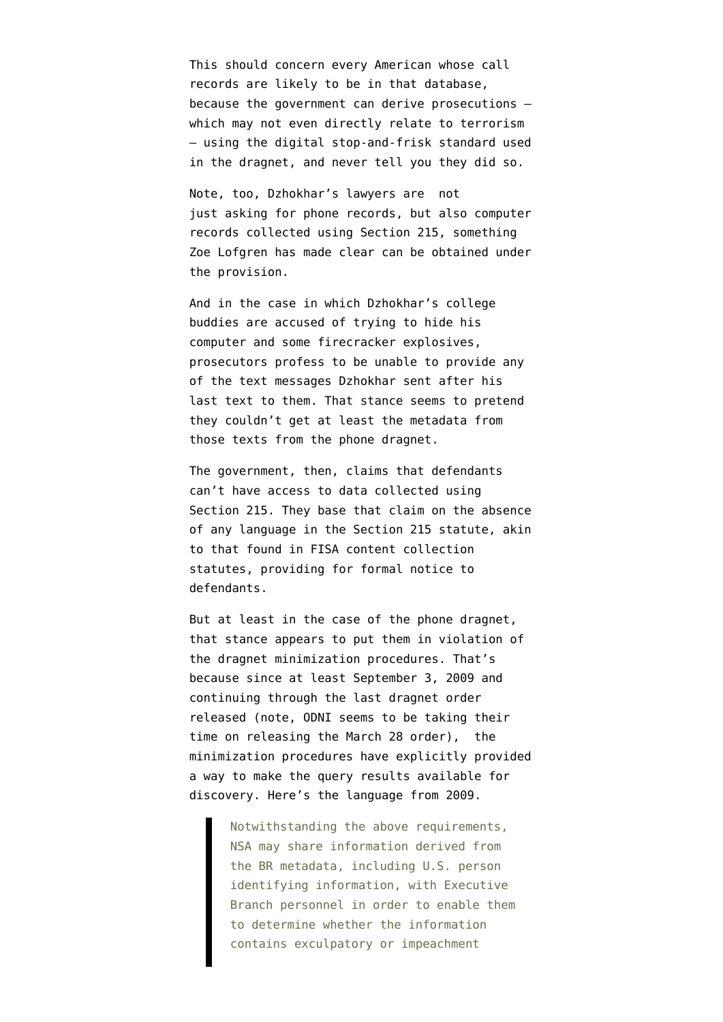This should concern every American whose call records are likely to be in that database, because the government can derive prosecutions which may not even directly relate to terrorism — using the digital stop-and-frisk standard used in the dragnet, and never tell you they did so.

Note, too, Dzhokhar's lawyers are not just asking for phone records, but also computer records collected using Section 215, something [Zoe Lofgren has made clear](http://t.co/pi8R78VLMG) can be obtained under the provision.

And in the case in which Dzhokhar's college buddies are accused of trying to hide his computer and some firecracker explosives, prosecutors [profess](http://www.emptywheel.net/2014/03/16/in-tsarnaev-related-case-doj-suggests-there-is-no-dragnet/) to be unable to provide any of the text messages Dzhokhar sent after his last text to them. That stance seems to pretend they couldn't get at least the metadata from those texts from the phone dragnet.

The government, then, claims that defendants can't have access to data collected using Section 215. They base that claim on the absence of any language in the Section 215 statute, akin to that found in FISA content collection statutes, providing for formal notice to defendants.

But at least in the case of the phone dragnet, that stance appears to put them in violation of the dragnet minimization procedures. That's because [since at least September 3, 2009](https://www.eff.org/files/filenode/br_09-13_orders_signed_3_sept_09_final_redacted.ex_-_ocr.pdf) and continuing through the [last dragnet order](http://www.uscourts.gov/uscourts/courts/fisc/br14-01-primary-order.pdf) [released](http://www.uscourts.gov/uscourts/courts/fisc/br14-01-primary-order.pdf) (note, ODNI seems to be taking their time on releasing the March 28 order), the minimization procedures have explicitly provided a way to make the query results available for discovery. Here's the language from 2009.

> Notwithstanding the above requirements, NSA may share information derived from the BR metadata, including U.S. person identifying information, with Executive Branch personnel in order to enable them to determine whether the information contains exculpatory or impeachment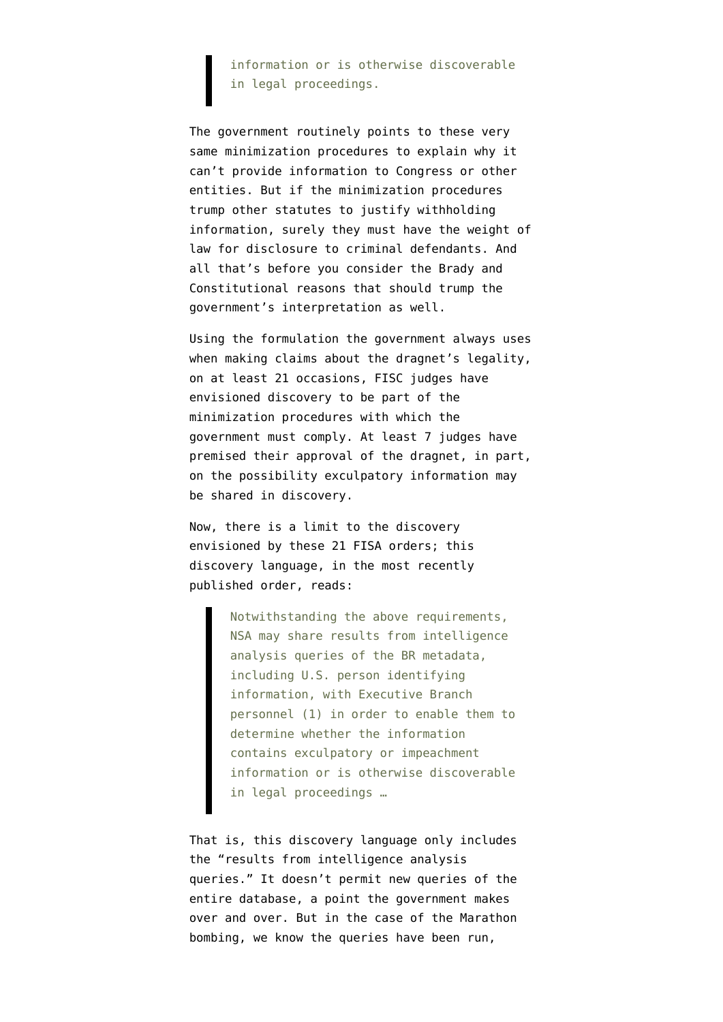## information or is otherwise discoverable in legal proceedings.

The government routinely points to these very same minimization procedures to explain why it can't provide information to Congress or other entities. But if the minimization procedures trump other statutes to justify withholding information, surely they must have the weight of law for disclosure to criminal defendants. And all that's before you consider the Brady and Constitutional reasons that should trump the government's interpretation as well.

Using the formulation the government always uses when making claims about the dragnet's legality, on at least 21 occasions, FISC judges have envisioned discovery to be part of the minimization procedures with which the government must comply. At least 7 judges have premised their approval of the dragnet, in part, on the possibility exculpatory information may be shared in discovery.

Now, there is a limit to the discovery envisioned by these 21 FISA orders; this discovery language, in [the most recently](http://www.uscourts.gov/uscourts/courts/fisc/br14-01-primary-order.pdf) [published order,](http://www.uscourts.gov/uscourts/courts/fisc/br14-01-primary-order.pdf) reads:

> Notwithstanding the above requirements, NSA may share results from intelligence analysis queries of the BR metadata, including U.S. person identifying information, with Executive Branch personnel (1) in order to enable them to determine whether the information contains exculpatory or impeachment information or is otherwise discoverable in legal proceedings …

That is, this discovery language only includes the "results from intelligence analysis queries." It doesn't permit new queries of the entire database, a point the government makes over and over. But in the case of the Marathon bombing, we know the queries have been run,